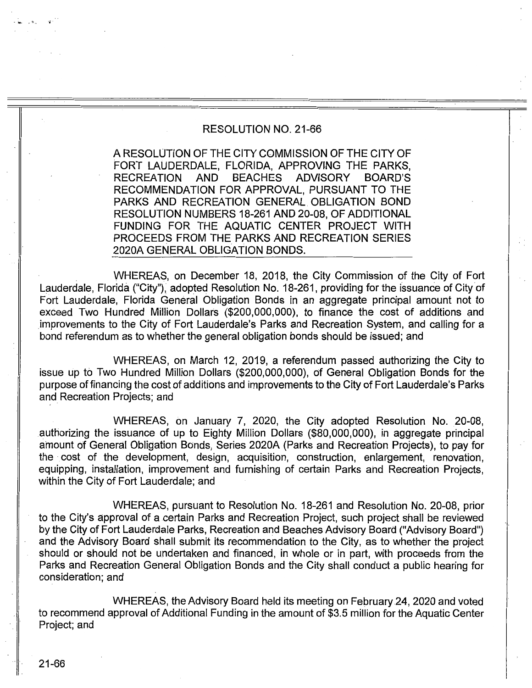## RESOLUTION NO. 21-66

A RESOLUTION OF THE CITY COMMISSION OF THE CITY OF FORT LAUDERDALE, FLORIDA, APPROVING THE PARKS, RECREATION AND BEACHES ADVISORY BOARD'S RECOMMENDATION FOR APPROVAL, PURSUANT TO THE PARKS AND RECREATION GENERAL. OBLIGATION BOND RESOLUTION NUMBERS 18-261 AND 20-08, OF ADDITIONAL FUNDING FOR THE AQUATIC CENTER PROJECT WITH PROCEEDS FROM THE PARKS AND RECREATION SERIES 2020A GENERAL OBLIGATION BONDS.

WHEREAS, on December 18, 2018, the City Commission of the City of Fort Lauderdale, Florida ("City"), adopted Resolution No. 18-261, providing for the issuance of City of Fort Lauderdale, Florida General Obligation Bonds in an aggregate principal amount not to exceed Two Hundred Million Dollars (\$200,000,000), to finance the cost of additions and improvements to the City of Fort Lauderdale's Parks and Recreation System, and calling for a bond referendum as to whether the general obligation bonds should be issued; and

WHEREAS, on March 12, 2019, a referendum passed authorizing the City to issue up to Two Hundred Million Dollars (\$200,000,000), of General Obligation Bonds for the purpose of financing the cost of additions and improvements to the City of Fort Lauderdale's Parks and Recreation Projects; and

WHEREAS, on January 7, 2020, the City adopted Resolution No. 20-08, authorizing the issuance of up to Eighty Million Dollars (\$80,000,000), in aggregate principal amount of General Obligation Bonds, Series 2020A (Parks and Recreation Projects), to pay for the cost of the development, design, acquisition, construction, enlargement, renovation, equipping, installation, improvement and furnishing of certain Parks ahd Recreation Projects, within the City of Fort Lauderdale; and

WHEREAS, pursuant to Resolution No. 18-261 and Resolution No. 20-08, prior to the City's approval of a certain Parks and Recreation Project, such project shall be reviewed by the City of Fort Lauderdale Parks, Recreation and Beaches Advisory Board ("Advisory Board") and the Advisory Board shall submit its recommendation to the City, as to whether the project should or should not be undertaken and financed, in whole or in part, with proceeds from the Parks and Recreation General Obligation Bonds and the City shall conduct a public hearing for consideration; and

WHEREAS, the Advisory Board held its meeting on February 24, 2020 and voted to recommend approval of Additional Funding in the amount of \$3.5 million for the Aquatic Center Project; and

- ... ,:.\_